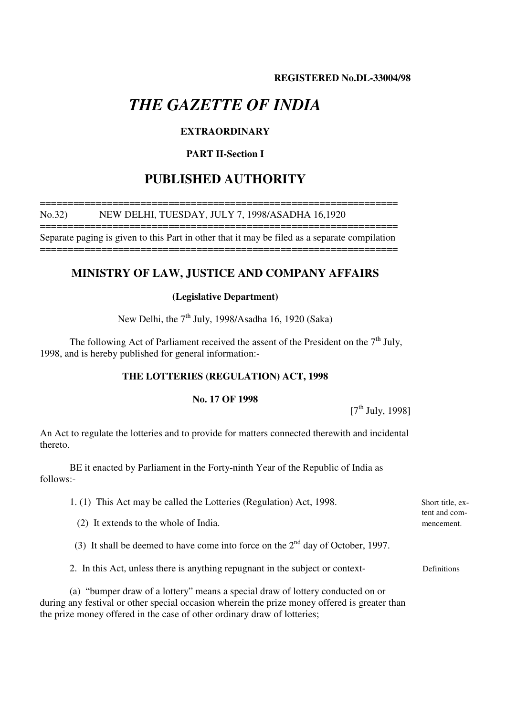# *THE GAZETTE OF INDIA*

## **EXTRAORDINARY**

## **PART II-Section I**

## **PUBLISHED AUTHORITY**

#### ================================================================ No.32) NEW DELHI, TUESDAY, JULY 7, 1998/ASADHA 16,1920

================================================================ Separate paging is given to this Part in other that it may be filed as a separate compilation

================================================================

## **MINISTRY OF LAW, JUSTICE AND COMPANY AFFAIRS**

### **(Legislative Department)**

New Delhi, the  $7<sup>th</sup>$  July, 1998/Asadha 16, 1920 (Saka)

The following Act of Parliament received the assent of the President on the  $7<sup>th</sup>$  July, 1998, and is hereby published for general information:-

## **THE LOTTERIES (REGULATION) ACT, 1998**

## **No. 17 OF 1998**

 $[7<sup>th</sup>$  July, 1998]

An Act to regulate the lotteries and to provide for matters connected therewith and incidental thereto.

BE it enacted by Parliament in the Forty-ninth Year of the Republic of India as follows:-

| 1. (1) This Act may be called the Lotteries (Regulation) Act, 1998.                                                                                                             | Short title, ex-<br>tent and com- |
|---------------------------------------------------------------------------------------------------------------------------------------------------------------------------------|-----------------------------------|
| (2) It extends to the whole of India.                                                                                                                                           | mencement.                        |
| (3) It shall be deemed to have come into force on the $2nd$ day of October, 1997.                                                                                               |                                   |
| 2. In this Act, unless there is anything repugnant in the subject or context-                                                                                                   | Definitions                       |
| (a) "bumper draw of a lottery" means a special draw of lottery conducted on or<br>during any festival or other special occasion wherein the prize money offered is greater than |                                   |

the prize money offered in the case of other ordinary draw of lotteries;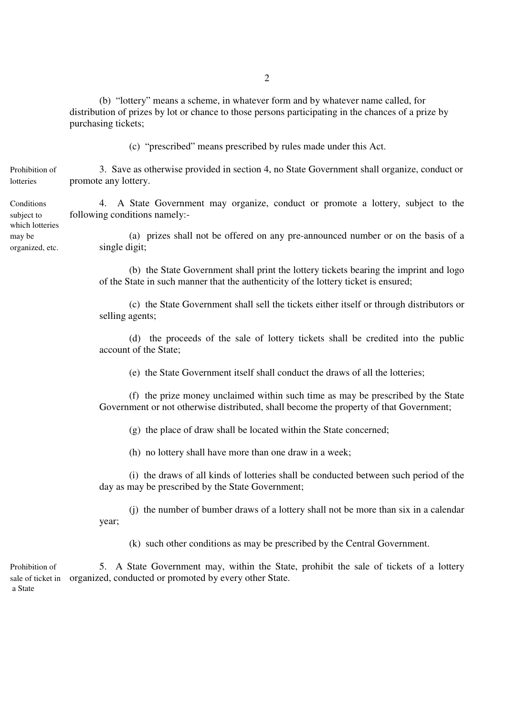(b) "lottery" means a scheme, in whatever form and by whatever name called, for distribution of prizes by lot or chance to those persons participating in the chances of a prize by purchasing tickets;

(c) "prescribed" means prescribed by rules made under this Act.

Prohibition of 3. Save as otherwise provided in section 4, no State Government shall organize, conduct or lotteries promote any lottery.

Conditions 4. A State Government may organize, conduct or promote a lottery, subject to the subject to following conditions namely:-

may be (a) prizes shall not be offered on any pre-announced number or on the basis of a organized, etc. single digit;

> (b) the State Government shall print the lottery tickets bearing the imprint and logo of the State in such manner that the authenticity of the lottery ticket is ensured;

> (c) the State Government shall sell the tickets either itself or through distributors or selling agents;

> (d) the proceeds of the sale of lottery tickets shall be credited into the public account of the State;

(e) the State Government itself shall conduct the draws of all the lotteries;

(f) the prize money unclaimed within such time as may be prescribed by the State Government or not otherwise distributed, shall become the property of that Government;

(g) the place of draw shall be located within the State concerned;

(h) no lottery shall have more than one draw in a week;

(i) the draws of all kinds of lotteries shall be conducted between such period of the day as may be prescribed by the State Government;

(j) the number of bumber draws of a lottery shall not be more than six in a calendar year;

(k) such other conditions as may be prescribed by the Central Government.

Prohibition of 5. A State Government may, within the State, prohibit the sale of tickets of a lottery sale of ticket in organized, conducted or promoted by every other State. a State

which lotteries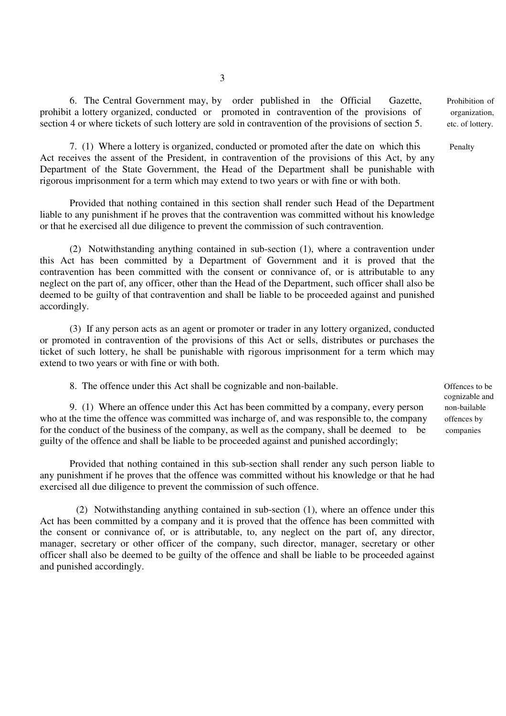6. The Central Government may, by order published in the Official Gazette, Prohibition of prohibit a lottery organized, conducted or promoted in contravention of the provisions of organization, section 4 or where tickets of such lottery are sold in contravention of the provisions of section 5. etc. of lottery.

7. (1) Where a lottery is organized, conducted or promoted after the date on which this Penalty Act receives the assent of the President, in contravention of the provisions of this Act, by any Department of the State Government, the Head of the Department shall be punishable with rigorous imprisonment for a term which may extend to two years or with fine or with both.

Provided that nothing contained in this section shall render such Head of the Department liable to any punishment if he proves that the contravention was committed without his knowledge or that he exercised all due diligence to prevent the commission of such contravention.

(2) Notwithstanding anything contained in sub-section (1), where a contravention under this Act has been committed by a Department of Government and it is proved that the contravention has been committed with the consent or connivance of, or is attributable to any neglect on the part of, any officer, other than the Head of the Department, such officer shall also be deemed to be guilty of that contravention and shall be liable to be proceeded against and punished accordingly.

(3) If any person acts as an agent or promoter or trader in any lottery organized, conducted or promoted in contravention of the provisions of this Act or sells, distributes or purchases the ticket of such lottery, he shall be punishable with rigorous imprisonment for a term which may extend to two years or with fine or with both.

8. The offence under this Act shall be cognizable and non-bailable. Offences to be

9. (1) Where an offence under this Act has been committed by a company, every person non-bailable who at the time the offence was committed was incharge of, and was responsible to, the company offences by for the conduct of the business of the company, as well as the company, shall be deemed to be companies guilty of the offence and shall be liable to be proceeded against and punished accordingly;

Provided that nothing contained in this sub-section shall render any such person liable to any punishment if he proves that the offence was committed without his knowledge or that he had exercised all due diligence to prevent the commission of such offence.

 (2) Notwithstanding anything contained in sub-section (1), where an offence under this Act has been committed by a company and it is proved that the offence has been committed with the consent or connivance of, or is attributable, to, any neglect on the part of, any director, manager, secretary or other officer of the company, such director, manager, secretary or other officer shall also be deemed to be guilty of the offence and shall be liable to be proceeded against and punished accordingly.

cognizable and

3